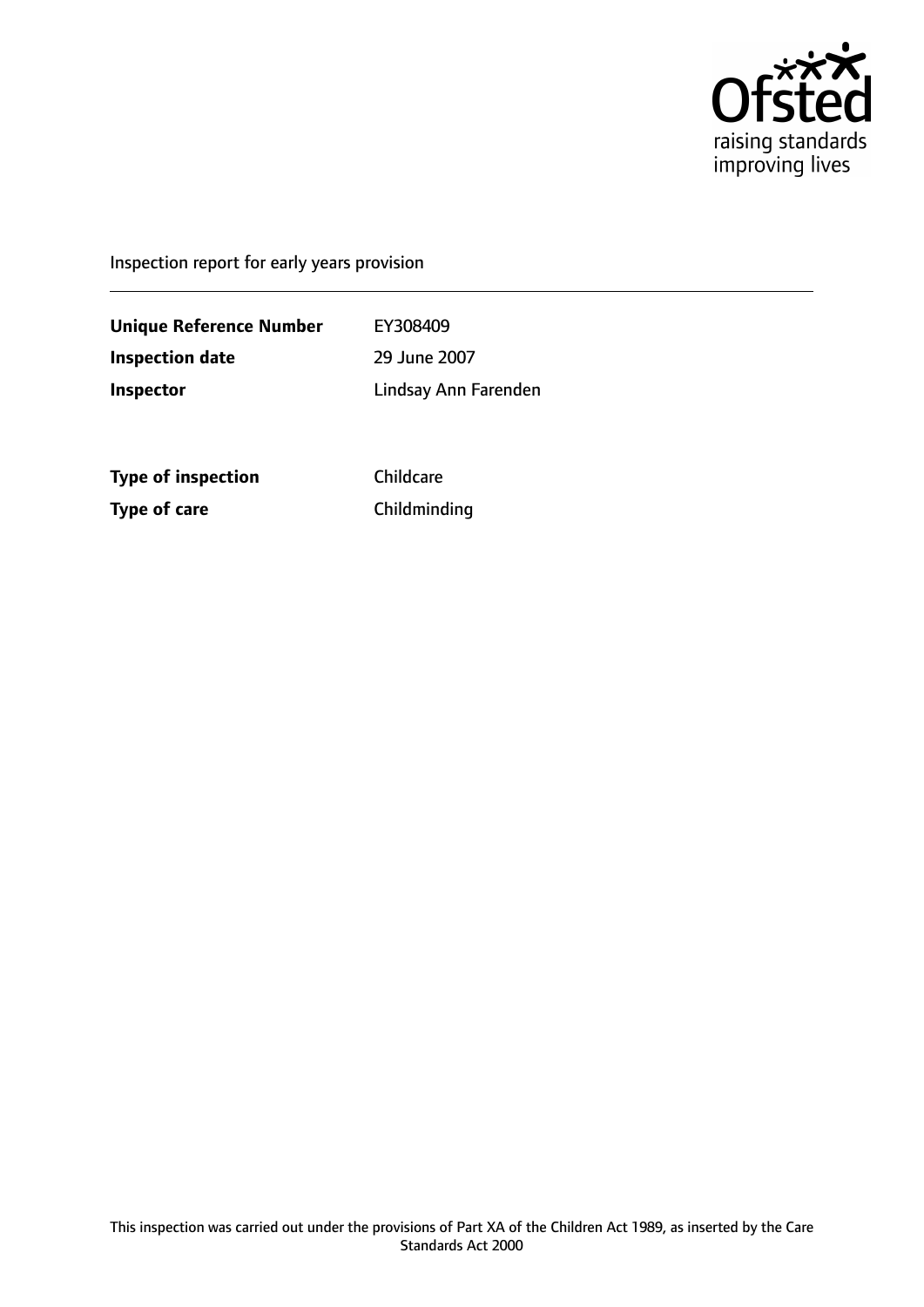

Inspection report for early years provision

**Unique Reference Number** EY308409 **Inspection date** 29 June 2007 **Inspector** Lindsay Ann Farenden

**Type of inspection** Childcare **Type of care** Childminding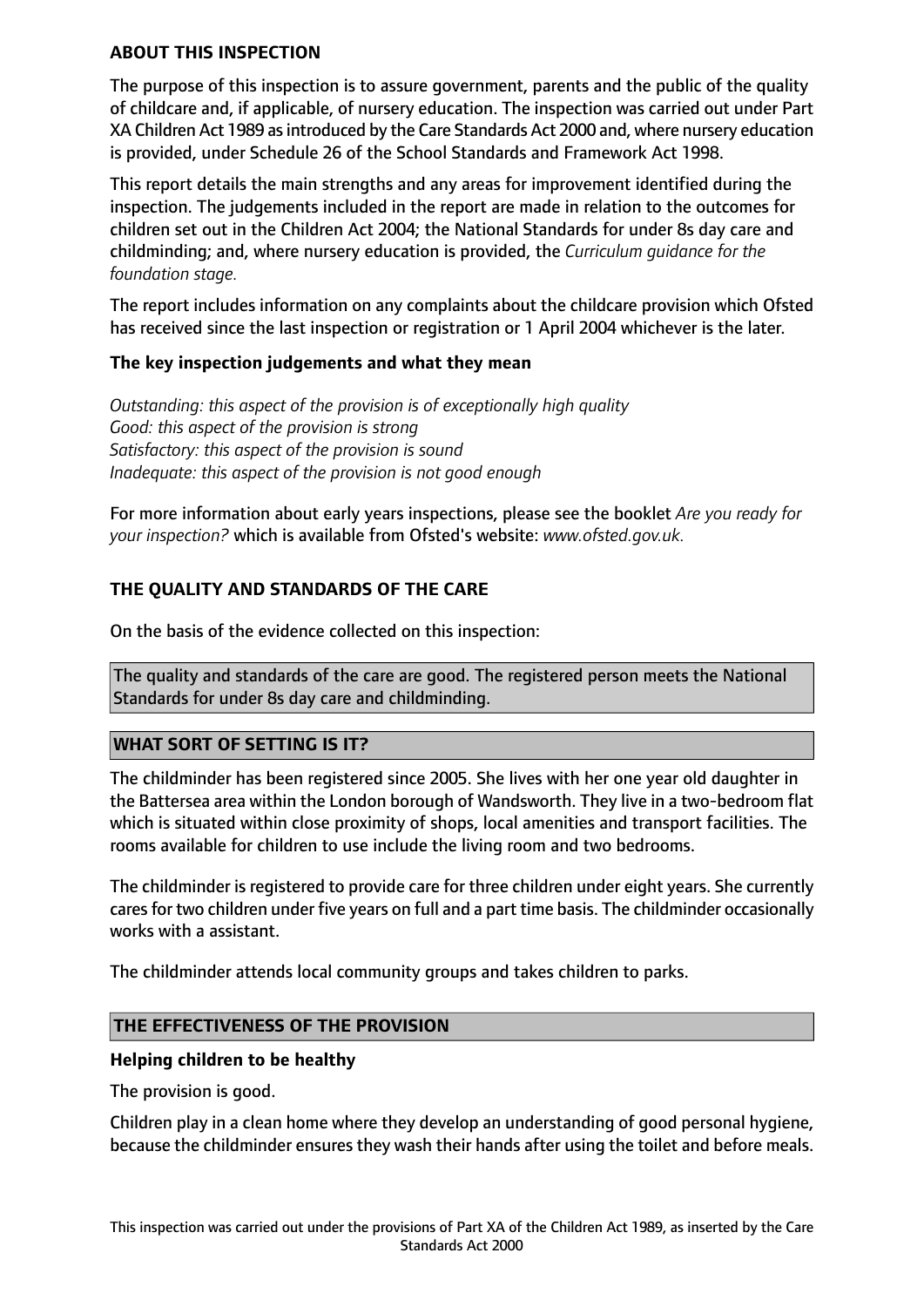### **ABOUT THIS INSPECTION**

The purpose of this inspection is to assure government, parents and the public of the quality of childcare and, if applicable, of nursery education. The inspection was carried out under Part XA Children Act 1989 asintroduced by the Care Standards Act 2000 and, where nursery education is provided, under Schedule 26 of the School Standards and Framework Act 1998.

This report details the main strengths and any areas for improvement identified during the inspection. The judgements included in the report are made in relation to the outcomes for children set out in the Children Act 2004; the National Standards for under 8s day care and childminding; and, where nursery education is provided, the *Curriculum guidance for the foundation stage.*

The report includes information on any complaints about the childcare provision which Ofsted has received since the last inspection or registration or 1 April 2004 whichever is the later.

## **The key inspection judgements and what they mean**

*Outstanding: this aspect of the provision is of exceptionally high quality Good: this aspect of the provision is strong Satisfactory: this aspect of the provision is sound Inadequate: this aspect of the provision is not good enough*

For more information about early years inspections, please see the booklet *Are you ready for your inspection?* which is available from Ofsted's website: *www.ofsted.gov.uk.*

## **THE QUALITY AND STANDARDS OF THE CARE**

On the basis of the evidence collected on this inspection:

The quality and standards of the care are good. The registered person meets the National Standards for under 8s day care and childminding.

### **WHAT SORT OF SETTING IS IT?**

The childminder has been registered since 2005. She lives with her one year old daughter in the Battersea area within the London borough of Wandsworth. They live in a two-bedroom flat which is situated within close proximity of shops, local amenities and transport facilities. The rooms available for children to use include the living room and two bedrooms.

The childminder is registered to provide care for three children under eight years. She currently cares for two children under five years on full and a part time basis. The childminder occasionally works with a assistant.

The childminder attends local community groups and takes children to parks.

### **THE EFFECTIVENESS OF THE PROVISION**

### **Helping children to be healthy**

The provision is good.

Children play in a clean home where they develop an understanding of good personal hygiene, because the childminder ensures they wash their hands after using the toilet and before meals.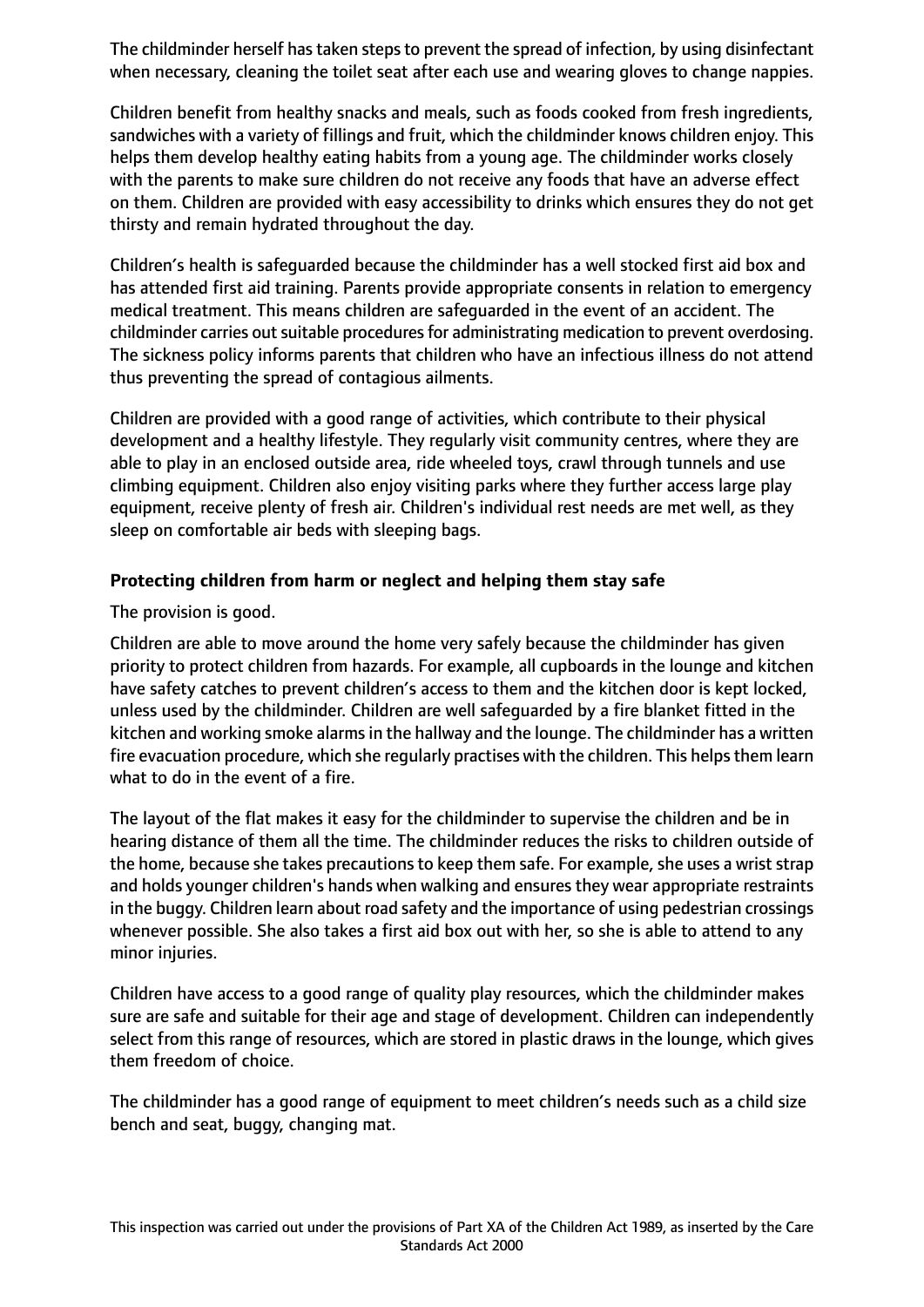The childminder herself has taken steps to prevent the spread of infection, by using disinfectant when necessary, cleaning the toilet seat after each use and wearing gloves to change nappies.

Children benefit from healthy snacks and meals, such as foods cooked from fresh ingredients, sandwiches with a variety of fillings and fruit, which the childminder knows children enjoy. This helps them develop healthy eating habits from a young age. The childminder works closely with the parents to make sure children do not receive any foods that have an adverse effect on them. Children are provided with easy accessibility to drinks which ensures they do not get thirsty and remain hydrated throughout the day.

Children's health is safeguarded because the childminder has a well stocked first aid box and has attended first aid training. Parents provide appropriate consents in relation to emergency medical treatment. This means children are safeguarded in the event of an accident. The childminder carries out suitable procedures for administrating medication to prevent overdosing. The sickness policy informs parents that children who have an infectious illness do not attend thus preventing the spread of contagious ailments.

Children are provided with a good range of activities, which contribute to their physical development and a healthy lifestyle. They regularly visit community centres, where they are able to play in an enclosed outside area, ride wheeled toys, crawl through tunnels and use climbing equipment. Children also enjoy visiting parks where they further access large play equipment, receive plenty of fresh air. Children's individual rest needs are met well, as they sleep on comfortable air beds with sleeping bags.

## **Protecting children from harm or neglect and helping them stay safe**

The provision is good.

Children are able to move around the home very safely because the childminder has given priority to protect children from hazards. For example, all cupboards in the lounge and kitchen have safety catches to prevent children's access to them and the kitchen door is kept locked, unless used by the childminder. Children are well safeguarded by a fire blanket fitted in the kitchen and working smoke alarms in the hallway and the lounge. The childminder has a written fire evacuation procedure, which she regularly practises with the children. This helps them learn what to do in the event of a fire.

The layout of the flat makes it easy for the childminder to supervise the children and be in hearing distance of them all the time. The childminder reduces the risks to children outside of the home, because she takes precautions to keep them safe. For example, she uses a wrist strap and holds younger children's hands when walking and ensures they wear appropriate restraints in the buggy. Children learn about road safety and the importance of using pedestrian crossings whenever possible. She also takes a first aid box out with her, so she is able to attend to any minor injuries.

Children have access to a good range of quality play resources, which the childminder makes sure are safe and suitable for their age and stage of development. Children can independently select from this range of resources, which are stored in plastic draws in the lounge, which gives them freedom of choice.

The childminder has a good range of equipment to meet children's needs such as a child size bench and seat, buggy, changing mat.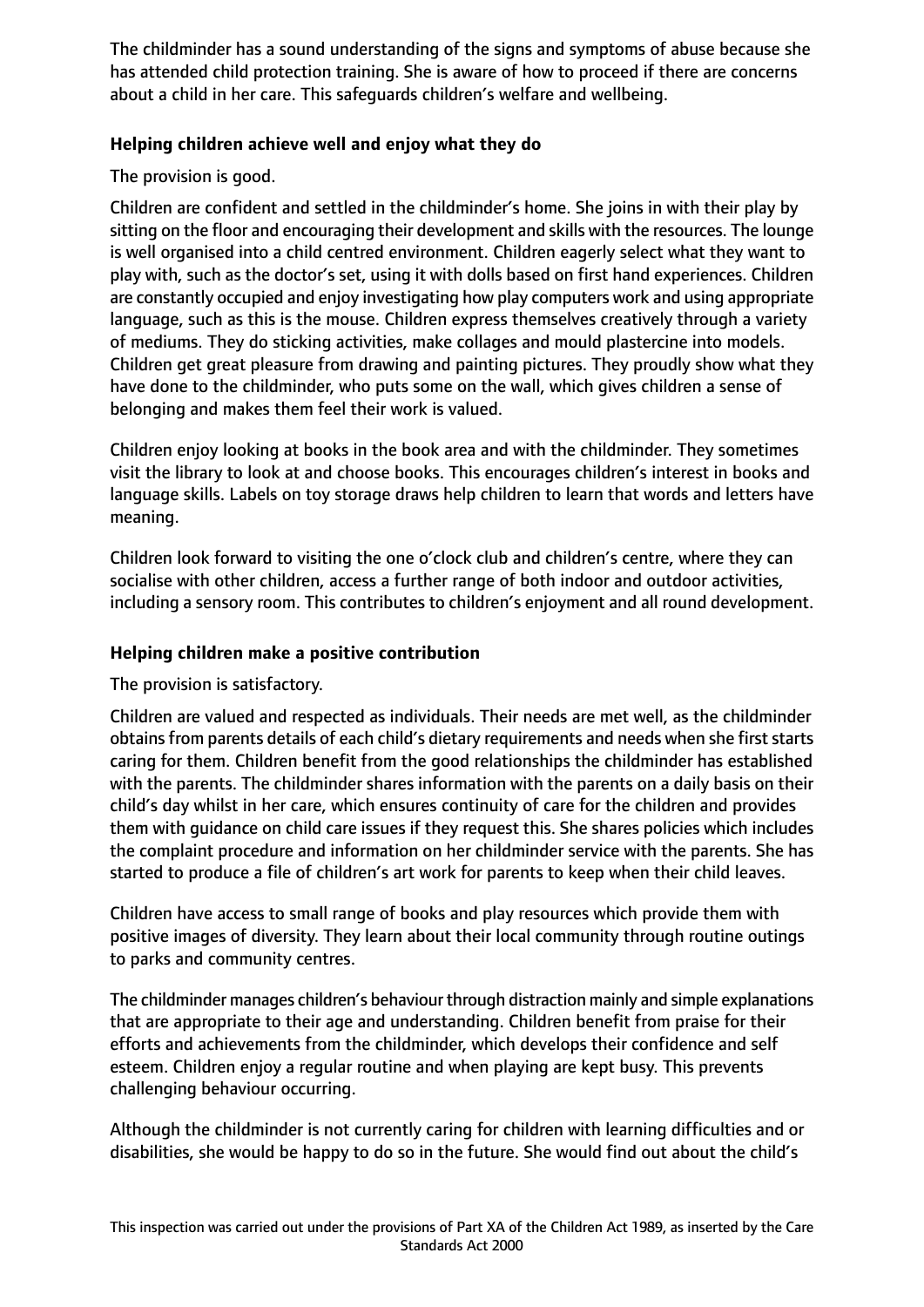The childminder has a sound understanding of the signs and symptoms of abuse because she has attended child protection training. She is aware of how to proceed if there are concerns about a child in her care. This safeguards children's welfare and wellbeing.

## **Helping children achieve well and enjoy what they do**

The provision is good.

Children are confident and settled in the childminder's home. She joins in with their play by sitting on the floor and encouraging their development and skills with the resources. The lounge is well organised into a child centred environment. Children eagerly select what they want to play with, such as the doctor's set, using it with dolls based on first hand experiences. Children are constantly occupied and enjoy investigating how play computers work and using appropriate language, such as this is the mouse. Children express themselves creatively through a variety of mediums. They do sticking activities, make collages and mould plastercine into models. Children get great pleasure from drawing and painting pictures. They proudly show what they have done to the childminder, who puts some on the wall, which gives children a sense of belonging and makes them feel their work is valued.

Children enjoy looking at books in the book area and with the childminder. They sometimes visit the library to look at and choose books. This encourages children's interest in books and language skills. Labels on toy storage draws help children to learn that words and letters have meaning.

Children look forward to visiting the one o'clock club and children's centre, where they can socialise with other children, access a further range of both indoor and outdoor activities, including a sensory room. This contributes to children's enjoyment and all round development.

## **Helping children make a positive contribution**

The provision is satisfactory.

Children are valued and respected as individuals. Their needs are met well, as the childminder obtains from parents details of each child's dietary requirements and needs when she first starts caring for them. Children benefit from the good relationships the childminder has established with the parents. The childminder shares information with the parents on a daily basis on their child's day whilst in her care, which ensures continuity of care for the children and provides them with guidance on child care issues if they request this. She shares policies which includes the complaint procedure and information on her childminder service with the parents. She has started to produce a file of children's art work for parents to keep when their child leaves.

Children have access to small range of books and play resources which provide them with positive images of diversity. They learn about their local community through routine outings to parks and community centres.

The childminder manages children's behaviour through distraction mainly and simple explanations that are appropriate to their age and understanding. Children benefit from praise for their efforts and achievements from the childminder, which develops their confidence and self esteem. Children enjoy a regular routine and when playing are kept busy. This prevents challenging behaviour occurring.

Although the childminder is not currently caring for children with learning difficulties and or disabilities, she would be happy to do so in the future. She would find out about the child's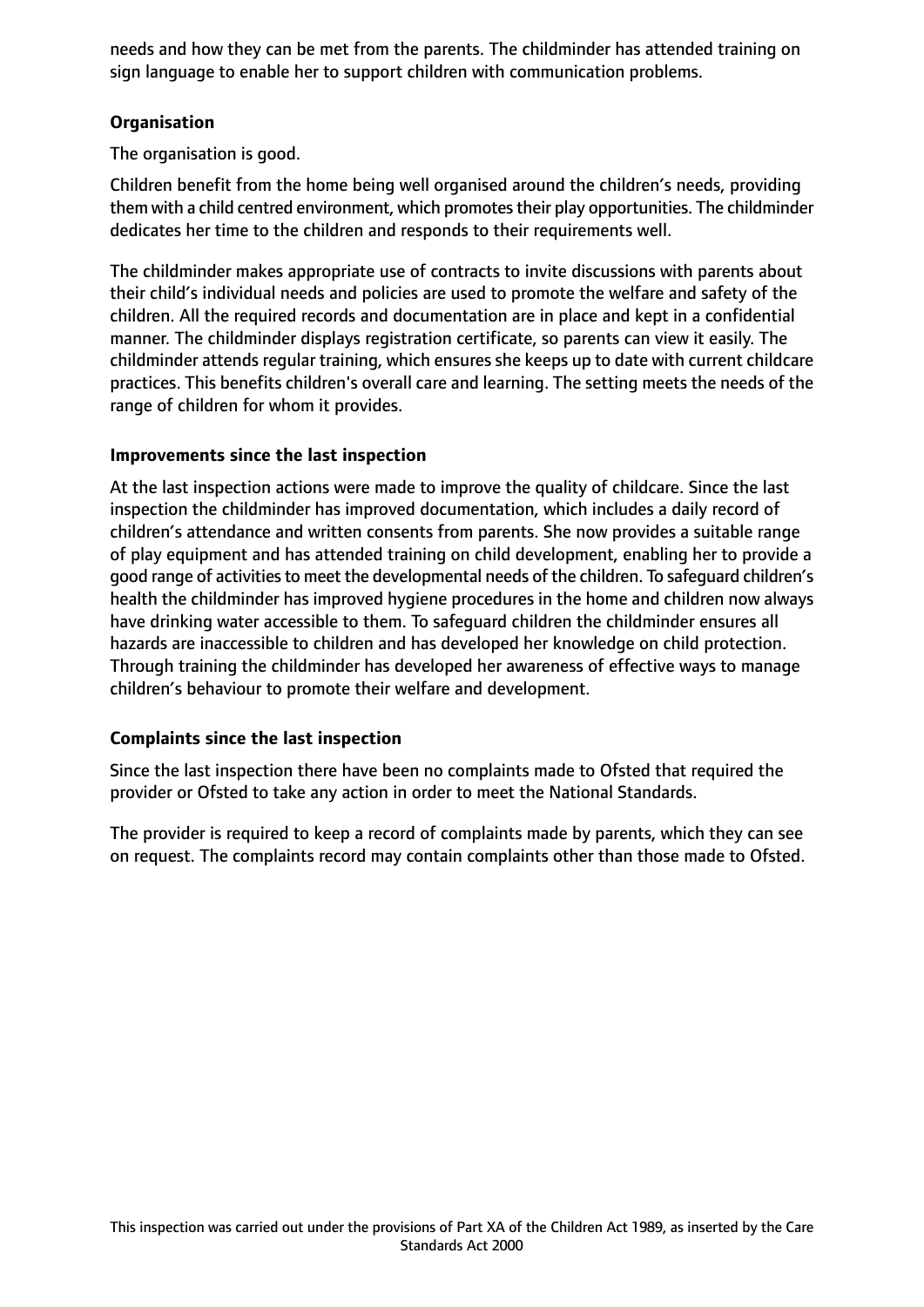needs and how they can be met from the parents. The childminder has attended training on sign language to enable her to support children with communication problems.

## **Organisation**

The organisation is good.

Children benefit from the home being well organised around the children's needs, providing them with a child centred environment, which promotes their play opportunities. The childminder dedicates her time to the children and responds to their requirements well.

The childminder makes appropriate use of contracts to invite discussions with parents about their child's individual needs and policies are used to promote the welfare and safety of the children. All the required records and documentation are in place and kept in a confidential manner. The childminder displays registration certificate, so parents can view it easily. The childminder attends regular training, which ensures she keeps up to date with current childcare practices. This benefits children's overall care and learning. The setting meets the needs of the range of children for whom it provides.

## **Improvements since the last inspection**

At the last inspection actions were made to improve the quality of childcare. Since the last inspection the childminder has improved documentation, which includes a daily record of children's attendance and written consents from parents. She now provides a suitable range of play equipment and has attended training on child development, enabling her to provide a good range of activities to meet the developmental needs of the children. To safeguard children's health the childminder has improved hygiene procedures in the home and children now always have drinking water accessible to them. To safeguard children the childminder ensures all hazards are inaccessible to children and has developed her knowledge on child protection. Through training the childminder has developed her awareness of effective ways to manage children's behaviour to promote their welfare and development.

# **Complaints since the last inspection**

Since the last inspection there have been no complaints made to Ofsted that required the provider or Ofsted to take any action in order to meet the National Standards.

The provider is required to keep a record of complaints made by parents, which they can see on request. The complaints record may contain complaints other than those made to Ofsted.